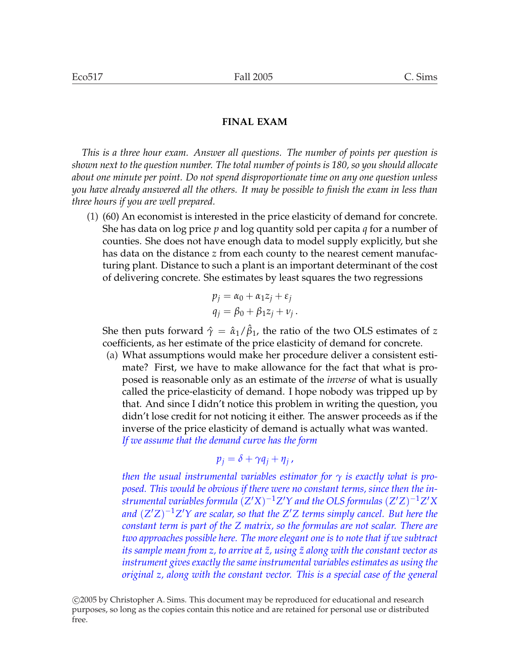*This is a three hour exam. Answer all questions. The number of points per question is shown next to the question number. The total number of points is 180, so you should allocate about one minute per point. Do not spend disproportionate time on any one question unless you have already answered all the others. It may be possible to finish the exam in less than three hours if you are well prepared.*

(1) (60) An economist is interested in the price elasticity of demand for concrete. She has data on log price *p* and log quantity sold per capita *q* for a number of counties. She does not have enough data to model supply explicitly, but she has data on the distance *z* from each county to the nearest cement manufacturing plant. Distance to such a plant is an important determinant of the cost of delivering concrete. She estimates by least squares the two regressions

$$
p_j = \alpha_0 + \alpha_1 z_j + \varepsilon_j
$$
  

$$
q_j = \beta_0 + \beta_1 z_j + \nu_j.
$$

She then puts forward  $\hat{\gamma}=\hat{\alpha}_1/\hat{\beta}_1$ , the ratio of the two OLS estimates of  $z$ coefficients, as her estimate of the price elasticity of demand for concrete.

(a) What assumptions would make her procedure deliver a consistent estimate? First, we have to make allowance for the fact that what is proposed is reasonable only as an estimate of the *inverse* of what is usually called the price-elasticity of demand. I hope nobody was tripped up by that. And since I didn't notice this problem in writing the question, you didn't lose credit for not noticing it either. The answer proceeds as if the inverse of the price elasticity of demand is actually what was wanted. *If we assume that the demand curve has the form*

$$
p_j = \delta + \gamma q_j + \eta_j,
$$

*then the usual instrumental variables estimator for γ is exactly what is proposed. This would be obvious if there were no constant terms, since then the instrumental variables formula*  $(Z'X)^{-1}Z'Y$  *and the OLS formulas*  $(Z'Z)^{-1}Z'X$  $\alpha$  *and*  $(Z'Z)^{-1}Z'Y$  are scalar, so that the  $Z'Z$  terms simply cancel. But here the *constant term is part of the Z matrix, so the formulas are not scalar. There are two approaches possible here. The more elegant one is to note that if we subtract its sample mean from z, to arrive at z*˜*, using z*˜ *along with the constant vector as instrument gives exactly the same instrumental variables estimates as using the original z, along with the constant vector. This is a special case of the general*

°c 2005 by Christopher A. Sims. This document may be reproduced for educational and research purposes, so long as the copies contain this notice and are retained for personal use or distributed free.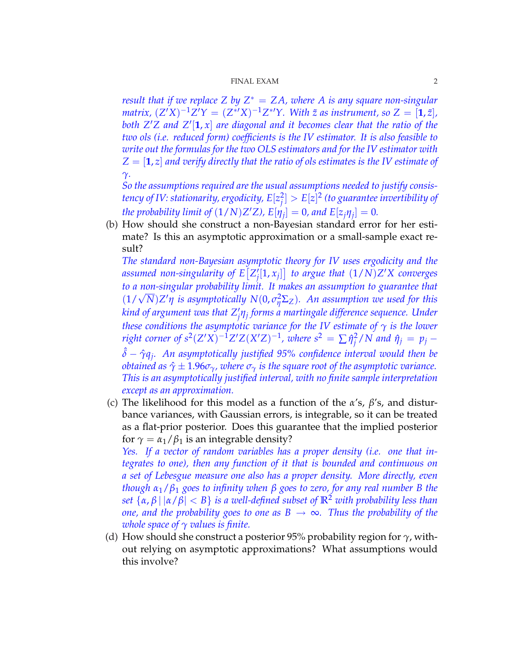*result that if we replace Z by Z* <sup>∗</sup> = *ZA, where A is any square non-singular matrix,*  $(Z'X)^{-1}Z'Y = (Z^{*'}X)^{-1}Z^{*'}Y$ . With  $\tilde{z}$  as instrument, so  $Z = [\mathbf{1}, \tilde{z}]$ , both  $Z'Z$  and  $Z'[1, x]$  are diagonal and it becomes clear that the ratio of the *two ols (i.e. reduced form) coefficients is the IV estimator. It is also feasible to write out the formulas for the two OLS estimators and for the IV estimator with Z* = [**1**, *z*] *and verify directly that the ratio of ols estimates is the IV estimate of γ.*

*So the assumptions required are the usual assumptions needed to justify consistency of IV: stationarity, ergodicity, E*[*z* 2  $\mathcal{G}_j^2 > E[z]^2$  (to guarantee invertibility of *the probability limit of*  $(1/N)Z'Z$ *), E*[ $\eta_j$ ] = 0*, and E*[ $z_j\eta_j$ ] = 0.

(b) How should she construct a non-Bayesian standard error for her estimate? Is this an asymptotic approximation or a small-sample exact result?

The standard non-Bayesian asymptotic theory for IV uses ergodicity and the *assumed non-singularity of E Z* 0  $\mathcal{J}_j^{\prime}[1,x_j]$  to argue that  $(1/N)Z'X$  converges *to a non-singular probability limit. It makes an assumption to guarantee that* √  $(1/\sqrt{N})Z'\eta$  is asymptotically  $N(0, \sigma_{\eta}^2\Sigma_Z)$ . An assumption we used for this *kind of argument was that Z* 0 *j ηj forms a martingale difference sequence. Under these conditions the asymptotic variance for the IV estimate of γ is the lower right corner of*  $s^2(Z'X)^{-1}Z'Z(X'Z)^{-1}$ *, where*  $s^2 = \sum \hat{\eta}_i^2$  $j^2/N$  and  $\hat{\eta}_j = p_j - \hat{\eta}_j$ ˆ*δ* − *γ*ˆ*q<sup>j</sup> . An asymptotically justified 95% confidence interval would then be obtained as*  $\hat{\gamma} \pm 1.96\sigma_{\gamma}$ , where  $\sigma_{\gamma}$  is the square root of the asymptotic variance. *This is an asymptotically justified interval, with no finite sample interpretation except as an approximation.*

(c) The likelihood for this model as a function of the *α*'s, *β*'s, and disturbance variances, with Gaussian errors, is integrable, so it can be treated as a flat-prior posterior. Does this guarantee that the implied posterior for  $\gamma = \alpha_1/\beta_1$  is an integrable density?

*Yes. If a vector of random variables has a proper density (i.e. one that integrates to one), then any function of it that is bounded and continuous on a set of Lebesgue measure one also has a proper density. More directly, even though α*1/*β*<sup>1</sup> *goes to infinity when β goes to zero, for any real number B the set*  $\{\alpha, \beta \mid |\alpha/\beta| < B\}$  *is a well-defined subset of*  $\mathbb{R}^2$  *with probability less than one, and the probability goes to one as*  $B \rightarrow \infty$ *. Thus the probability of the whole space of γ values is finite.*

(d) How should she construct a posterior 95% probability region for *γ*, without relying on asymptotic approximations? What assumptions would this involve?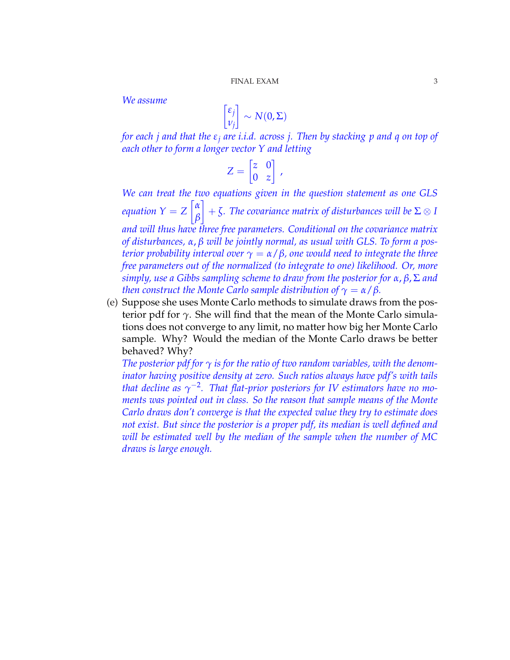*We assume*

$$
\begin{bmatrix} \varepsilon_j \\ v_j \end{bmatrix} \sim N(0, \Sigma)
$$

*for each j and that the ε<sup>j</sup> are i.i.d. across j. Then by stacking p and q on top of each other to form a longer vector Y and letting*

$$
Z = \begin{bmatrix} z & 0 \\ 0 & z \end{bmatrix},
$$

We can treat the two equations given in the question statement as one GLS *equation*  $Y = Z \begin{bmatrix} \alpha \\ \rho \end{bmatrix}$  $\left\lvert \frac{\alpha}{\beta} \right\rvert + \zeta$ . The covariance matrix of disturbances will be  $\Sigma \otimes I$ *and will thus have three free parameters. Conditional on the covariance matrix of disturbances, α*, *β will be jointly normal, as usual with GLS. To form a posterior probability interval over γ* = *α*/*β, one would need to integrate the three free parameters out of the normalized (to integrate to one) likelihood. Or, more simply, use a Gibbs sampling scheme to draw from the posterior for α*, *β*, Σ *and then construct the Monte Carlo sample distribution of*  $\gamma = \alpha/\beta$ *.* 

(e) Suppose she uses Monte Carlo methods to simulate draws from the posterior pdf for *γ*. She will find that the mean of the Monte Carlo simulations does not converge to any limit, no matter how big her Monte Carlo sample. Why? Would the median of the Monte Carlo draws be better behaved? Why?

*The posterior pdf for*  $\gamma$  *is for the ratio of two random variables, with the denominator having positive density at zero. Such ratios always have pdf's with tails that decline as*  $\gamma^{-2}$ . That flat-prior posteriors for IV estimators have no mo*ments was pointed out in class. So the reason that sample means of the Monte Carlo draws don't converge is that the expected value they try to estimate does not exist. But since the posterior is a proper pdf, its median is well defined and will be estimated well by the median of the sample when the number of MC draws is large enough.*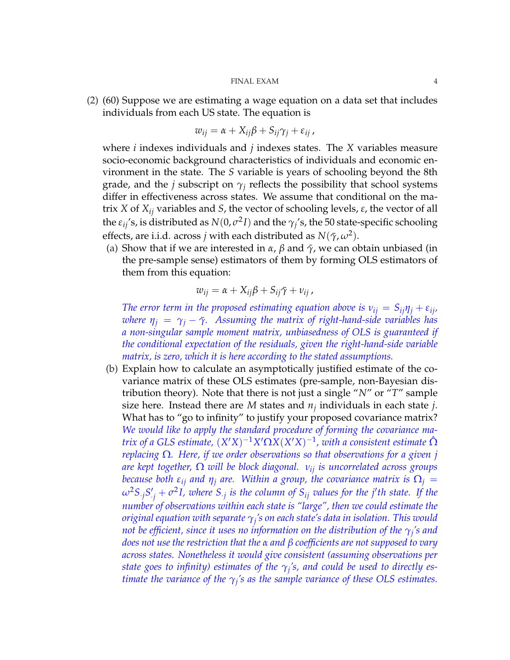(2) (60) Suppose we are estimating a wage equation on a data set that includes individuals from each US state. The equation is

$$
w_{ij} = \alpha + X_{ij}\beta + S_{ij}\gamma_j + \varepsilon_{ij}
$$

where *i* indexes individuals and *j* indexes states. The *X* variables measure socio-economic background characteristics of individuals and economic environment in the state. The *S* variable is years of schooling beyond the 8th grade, and the *j* subscript on  $\gamma_i$  reflects the possibility that school systems differ in effectiveness across states. We assume that conditional on the matrix *X* of *Xij* variables and *S*, the vector of schooling levels, *ε*, the vector of all the  $\varepsilon_{ij}$ 's, is distributed as  $N(0, \sigma^2 I)$  and the  $\gamma_j$ 's, the 50 state-specific schooling effects, are i.i.d. across *j* with each distributed as  $N(\bar{\gamma}, \omega^2)$ .

(a) Show that if we are interested in  $\alpha$ ,  $\beta$  and  $\bar{\gamma}$ , we can obtain unbiased (in the pre-sample sense) estimators of them by forming OLS estimators of them from this equation:

$$
w_{ij} = \alpha + X_{ij}\beta + S_{ij}\bar{\gamma} + v_{ij},
$$

*The error term in the proposed estimating equation above is*  $v_{ij} = S_{ij} \eta_j + \varepsilon_{ij}$ *, where*  $\eta_i = \gamma_i - \bar{\gamma}$ . Assuming the matrix of right-hand-side variables has *a non-singular sample moment matrix, unbiasedness of OLS is guaranteed if the conditional expectation of the residuals, given the right-hand-side variable matrix, is zero, which it is here according to the stated assumptions.*

(b) Explain how to calculate an asymptotically justified estimate of the covariance matrix of these OLS estimates (pre-sample, non-Bayesian distribution theory). Note that there is not just a single "*N*" or "*T*" sample size here. Instead there are  $M$  states and  $n_j$  individuals in each state  $j$ . What has to "go to infinity" to justify your proposed covariance matrix? *We would like to apply the standard procedure of forming the covariance matrix of a GLS estimate,*  $(X'X)^{-1}X' \Omega X(X'X)^{-1}$ , with a consistent estimate  $\hat{\Omega}$ *replacing* Ω*. Here, if we order observations so that observations for a given j are kept together,* Ω *will be block diagonal. νij is uncorrelated across groups because both*  $\varepsilon_{ij}$  *and*  $\eta_j$  *are.* Within a group, the covariance matrix is  $\Omega_j =$  $\omega^2 S_{\cdot j} S'_{\cdot j} + \sigma^2 I$ , where  $S_{\cdot j}$  is the column of  $S_{ij}$  values for the *j*'th state. If the *number of observations within each state is "large", then we could estimate the original equation with separate γ<sup>j</sup> 's on each state's data in isolation. This would not be efficient, since it uses no information on the distribution of the γ<sup>j</sup> 's and does not use the restriction that the α and β coefficients are not supposed to vary across states. Nonetheless it would give consistent (assuming observations per state goes to infinity) estimates of the*  $\gamma_j$ *'s, and could be used to directly estimate the variance of the*  $\gamma$ <sup>*'s as the sample variance of these OLS estimates.*</sup>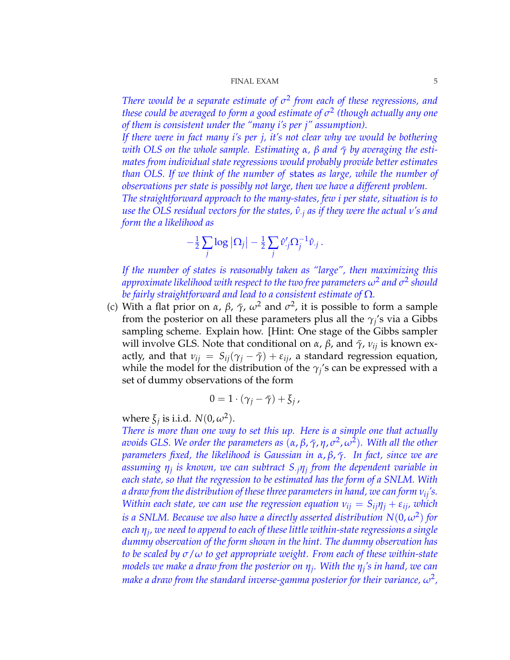*There would be a separate estimate of σ* 2 *from each of these regressions, and these could be averaged to form a good estimate of σ* 2 *(though actually any one of them is consistent under the "many i's per j" assumption).*

*If there were in fact many i's per j, it's not clear why we would be bothering with OLS on the whole sample. Estimating α, β and*  $\bar{\gamma}$  *by averaging the estimates from individual state regressions would probably provide better estimates than OLS. If we think of the number of* states *as large, while the number of observations per state is possibly not large, then we have a different problem.*

*The straightforward approach to the many-states, few i per state, situation is to use the OLS residual vectors for the states,*  $\hat{v}_{\cdot j}$  *as if they were the actual v's and form the a likelihood as*

$$
-\frac{1}{2}\sum_j \log |\Omega_j| - \frac{1}{2}\sum_j \hat{v}'_j \Omega_j^{-1} \hat{v}_{\cdot j}.
$$

*If the number of states is reasonably taken as "large", then maximizing this*  $a$ pproximate likelihood with respect to the two free parameters  $\omega^2$  and  $\sigma^2$  should *be fairly straightforward and lead to a consistent estimate of* Ω*.*

(c) With a flat prior on  $\alpha$ ,  $\beta$ ,  $\bar{\gamma}$ ,  $\omega^2$  and  $\sigma^2$ , it is possible to form a sample from the posterior on all these parameters plus all the  $\gamma_j$ 's via a Gibbs sampling scheme. Explain how. [Hint: One stage of the Gibbs sampler will involve GLS. Note that conditional on *α*, *β*, and  $\bar{\gamma}$ ,  $v_{ij}$  is known exactly, and that  $v_{ij} = S_{ij}(\gamma_j - \bar{\gamma}) + \varepsilon_{ij}$ , a standard regression equation, while the model for the distribution of the  $\gamma_j$ 's can be expressed with a set of dummy observations of the form

$$
0=1\cdot(\gamma_j-\bar{\gamma})+\bar{\zeta}_j,
$$

where  $\xi_j$  is i.i.d.  $N(0, \omega^2)$ .

*There is more than one way to set this up. Here is a simple one that actually avoids GLS. We order the parameters as* (*α*, *β*, *γ*¯, *η*, *σ* 2 , *ω*<sup>2</sup> )*. With all the other parameters fixed, the likelihood is Gaussian in*  $\alpha$ *,*  $\beta$ *,*  $\bar{\gamma}$ *. In fact, since we are assuming η<sup>j</sup> is known, we can subtract S*·*jη<sup>j</sup> from the dependent variable in each state, so that the regression to be estimated has the form of a SNLM. With a draw from the distribution of these three parameters in hand, we can form νij's. Within each state, we can use the regression equation*  $v_{ij} = S_{ij} \eta_j + \varepsilon_{ij}$ *, which is a SNLM. Because we also have a directly asserted distribution*  $N(0, \omega^2)$  for *each η<sup>j</sup> , we need to append to each of these little within-state regressions a single dummy observation of the form shown in the hint. The dummy observation has to be scaled by σ*/*ω to get appropriate weight. From each of these within-state models we make a draw from the posterior on η<sup>j</sup> . With the η<sup>j</sup> 's in hand, we can*  $m$ ake a draw from the standard inverse-gamma posterior for their variance,  $\omega^2$ ,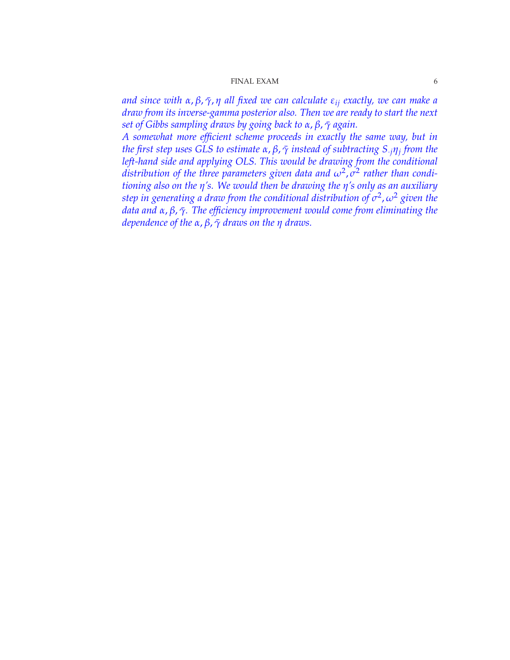*and since with α*, *β*, *γ*¯, *η all fixed we can calculate εij exactly, we can make a draw from its inverse-gamma posterior also. Then we are ready to start the next set of Gibbs sampling draws by going back to α*, *β*, *γ*¯ *again.*

*A somewhat more efficient scheme proceeds in exactly the same way, but in the first step uses GLS to estimate α*, *β*, *γ*¯ *instead of subtracting S*·*jη<sup>j</sup> from the left-hand side and applying OLS. This would be drawing from the conditional distribution of the three parameters given data and ω<sup>2</sup>, σ<sup>2</sup> rather than conditioning also on the η's. We would then be drawing the η's only as an auxiliary step in generating a draw from the conditional distribution of σ* 2 , *ω*<sup>2</sup> *given the data and α*, *β*, *γ*¯*. The efficiency improvement would come from eliminating the dependence of the α*, *β*, *γ*¯ *draws on the η draws.*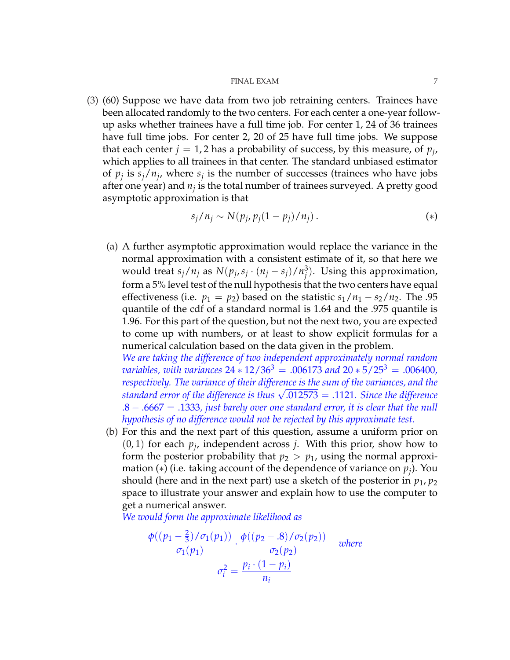(3) (60) Suppose we have data from two job retraining centers. Trainees have been allocated randomly to the two centers. For each center a one-year followup asks whether trainees have a full time job. For center 1, 24 of 36 trainees have full time jobs. For center 2, 20 of 25 have full time jobs. We suppose that each center  $j = 1, 2$  has a probability of success, by this measure, of  $p_j$ , which applies to all trainees in that center. The standard unbiased estimator of  $p_j$  is  $s_j/n_j$ , where  $s_j$  is the number of successes (trainees who have jobs after one year) and  $n_j$  is the total number of trainees surveyed. A pretty good asymptotic approximation is that

$$
s_j/n_j \sim N(p_j, p_j(1-p_j)/n_j). \tag{*}
$$

(a) A further asymptotic approximation would replace the variance in the normal approximation with a consistent estimate of it, so that here we would treat  $s_j/n_j$  as  $N(p_j, s_j \cdot (n_j - s_j)/n_j^3)$  $j^3$ ). Using this approximation, form a 5% level test of the null hypothesis that the two centers have equal effectiveness (i.e.  $p_1 = p_2$ ) based on the statistic  $s_1/n_1 - s_2/n_2$ . The .95 quantile of the cdf of a standard normal is 1.64 and the .975 quantile is 1.96. For this part of the question, but not the next two, you are expected to come up with numbers, or at least to show explicit formulas for a numerical calculation based on the data given in the problem.

*We are taking the difference of two independent approximately normal random variables, with variances*  $24 * 12/36<sup>3</sup> = .006173$  *and*  $20 * 5/25<sup>3</sup> = .006400$ , *respectively. The variance of their difference is the sum of the variances, and the standard error of the difference is thus* <sup>√</sup> .012573 = .1121*. Since the difference* .8 − .6667 = .1333*, just barely over one standard error, it is clear that the null hypothesis of no difference would not be rejected by this approximate test.*

(b) For this and the next part of this question, assume a uniform prior on  $(0, 1)$  for each  $p_j$ , independent across *j*. With this prior, show how to form the posterior probability that  $p_2 > p_1$ , using the normal approximation (∗) (i.e. taking account of the dependence of variance on *p<sup>j</sup>* ). You should (here and in the next part) use a sketch of the posterior in  $p_1, p_2$ space to illustrate your answer and explain how to use the computer to get a numerical answer.

*We would form the approximate likelihood as*

$$
\frac{\phi((p_1-\frac{2}{3})/\sigma_1(p_1))}{\sigma_1(p_1)} \cdot \frac{\phi((p_2-.8)/\sigma_2(p_2))}{\sigma_2(p_2)}
$$
 where  

$$
\sigma_i^2 = \frac{p_i \cdot (1-p_i)}{n_i}
$$